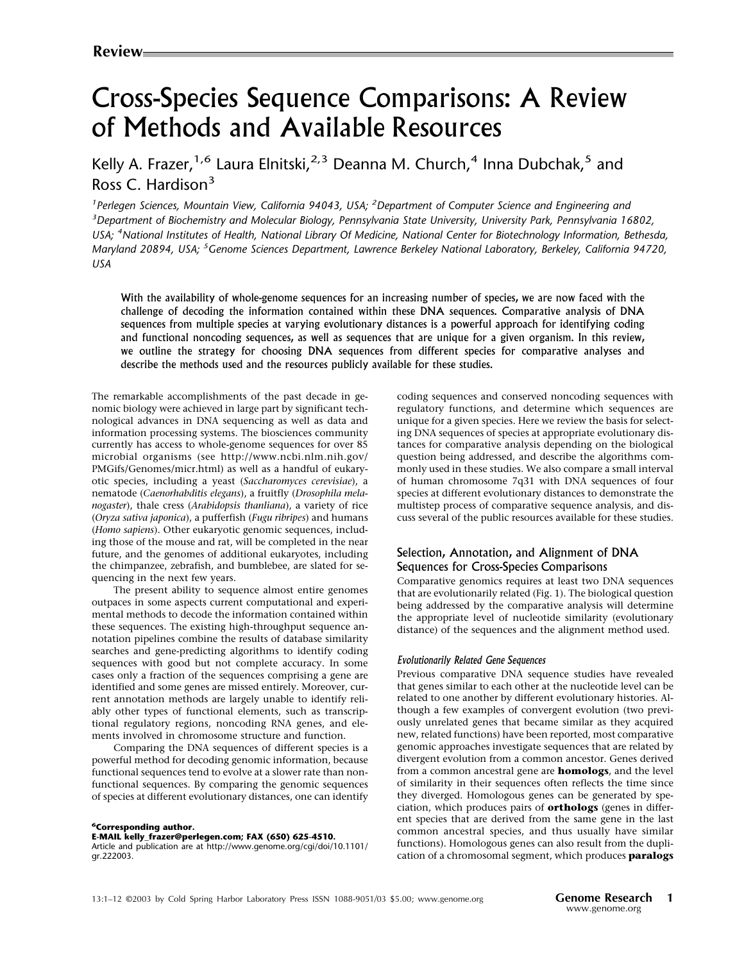# Cross-Species Sequence Comparisons: A Review of Methods and Available Resources

Kelly A. Frazer,<sup>1,6</sup> Laura Elnitski,<sup>2,3</sup> Deanna M. Church,<sup>4</sup> Inna Dubchak,<sup>5</sup> and Ross C. Hardison<sup>3</sup>

<sup>1</sup> Perlegen Sciences, Mountain View, California 94043, USA; <sup>2</sup> Department of Computer Science and Engineering and <sup>3</sup>Department of Biochemistry and Molecular Biology, Pennsylvania State University, University Park, Pennsylvania 16802, USA; <sup>4</sup>National Institutes of Health, National Library Of Medicine, National Center for Biotechnology Information, Bethesda, Maryland 20894, USA; <sup>5</sup>Genome Sciences Department, Lawrence Berkeley National Laboratory, Berkeley, California 94720, USA

With the availability of whole-genome sequences for an increasing number of species, we are now faced with the challenge of decoding the information contained within these DNA sequences. Comparative analysis of DNA sequences from multiple species at varying evolutionary distances is a powerful approach for identifying coding and functional noncoding sequences, as well as sequences that are unique for a given organism. In this review, we outline the strategy for choosing DNA sequences from different species for comparative analyses and describe the methods used and the resources publicly available for these studies.

The remarkable accomplishments of the past decade in genomic biology were achieved in large part by significant technological advances in DNA sequencing as well as data and information processing systems. The biosciences community currently has access to whole-genome sequences for over 85 microbial organisms (see http://www.ncbi.nlm.nih.gov/ PMGifs/Genomes/micr.html) as well as a handful of eukaryotic species, including a yeast (Saccharomyces cerevisiae), a nematode (Caenorhabditis elegans), a fruitfly (Drosophila melanogaster), thale cress (Arabidopsis thanliana), a variety of rice (Oryza sativa japonica), a pufferfish (Fugu ribripes) and humans (Homo sapiens). Other eukaryotic genomic sequences, including those of the mouse and rat, will be completed in the near future, and the genomes of additional eukaryotes, including the chimpanzee, zebrafish, and bumblebee, are slated for sequencing in the next few years.

The present ability to sequence almost entire genomes outpaces in some aspects current computational and experimental methods to decode the information contained within these sequences. The existing high-throughput sequence annotation pipelines combine the results of database similarity searches and gene-predicting algorithms to identify coding sequences with good but not complete accuracy. In some cases only a fraction of the sequences comprising a gene are identified and some genes are missed entirely. Moreover, current annotation methods are largely unable to identify reliably other types of functional elements, such as transcriptional regulatory regions, noncoding RNA genes, and elements involved in chromosome structure and function.

Comparing the DNA sequences of different species is a powerful method for decoding genomic information, because functional sequences tend to evolve at a slower rate than nonfunctional sequences. By comparing the genomic sequences of species at different evolutionary distances, one can identify

## <sup>6</sup>Corresponding author.

E-MAIL kelly\_frazer@perlegen.com;FAX (650) 625-4510.

Article and publication are at http://www.genome.org/cgi/doi/10.1101/ gr.222003.

coding sequences and conserved noncoding sequences with regulatory functions, and determine which sequences are unique for a given species. Here we review the basis for selecting DNA sequences of species at appropriate evolutionary distances for comparative analysis depending on the biological question being addressed, and describe the algorithms commonly used in these studies. We also compare a small interval of human chromosome 7q31 with DNA sequences of four species at different evolutionary distances to demonstrate the multistep process of comparative sequence analysis, and discuss several of the public resources available for these studies.

# Selection, Annotation, and Alignment of DNA Sequences for Cross-Species Comparisons

Comparative genomics requires at least two DNA sequences that are evolutionarily related (Fig. 1). The biological question being addressed by the comparative analysis will determine the appropriate level of nucleotide similarity (evolutionary distance) of the sequences and the alignment method used.

### Evolutionarily Related Gene Sequences

Previous comparative DNA sequence studies have revealed that genes similar to each other at the nucleotide level can be related to one another by different evolutionary histories. Although a few examples of convergent evolution (two previously unrelated genes that became similar as they acquired new, related functions) have been reported, most comparative genomic approaches investigate sequences that are related by divergent evolution from a common ancestor. Genes derived from a common ancestral gene are **homologs**, and the level of similarity in their sequences often reflects the time since they diverged. Homologous genes can be generated by speciation, which produces pairs of orthologs (genes in different species that are derived from the same gene in the last common ancestral species, and thus usually have similar functions). Homologous genes can also result from the duplication of a chromosomal segment, which produces **paralogs**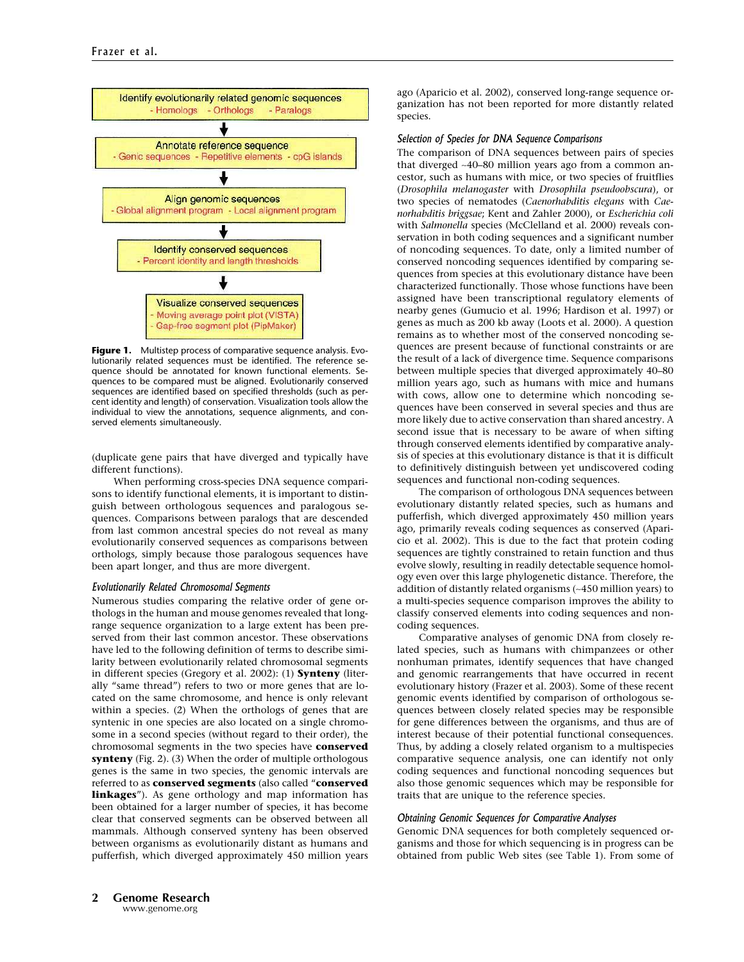

Figure 1. Multistep process of comparative sequence analysis. Evolutionarily related sequences must be identified. The reference sequence should be annotated for known functional elements. Sequences to be compared must be aligned. Evolutionarily conserved sequences are identified based on specified thresholds (such as percent identity and length) of conservation. Visualization tools allow the individual to view the annotations, sequence alignments, and conserved elements simultaneously.

(duplicate gene pairs that have diverged and typically have different functions).

When performing cross-species DNA sequence comparisons to identify functional elements, it is important to distinguish between orthologous sequences and paralogous sequences. Comparisons between paralogs that are descended from last common ancestral species do not reveal as many evolutionarily conserved sequences as comparisons between orthologs, simply because those paralogous sequences have been apart longer, and thus are more divergent.

### Evolutionarily Related Chromosomal Segments

Numerous studies comparing the relative order of gene orthologs in the human and mouse genomes revealed that longrange sequence organization to a large extent has been preserved from their last common ancestor. These observations have led to the following definition of terms to describe similarity between evolutionarily related chromosomal segments in different species (Gregory et al. 2002): (1) **Synteny** (literally "same thread") refers to two or more genes that are located on the same chromosome, and hence is only relevant within a species. (2) When the orthologs of genes that are syntenic in one species are also located on a single chromosome in a second species (without regard to their order), the chromosomal segments in the two species have conserved synteny (Fig. 2). (3) When the order of multiple orthologous genes is the same in two species, the genomic intervals are referred to as conserved segments (also called "conserved linkages"). As gene orthology and map information has been obtained for a larger number of species, it has become clear that conserved segments can be observed between all mammals. Although conserved synteny has been observed between organisms as evolutionarily distant as humans and pufferfish, which diverged approximately 450 million years ago (Aparicio et al. 2002), conserved long-range sequence organization has not been reported for more distantly related species.

### Selection of Species for DNA Sequence Comparisons

The comparison of DNA sequences between pairs of species that diverged ∼40–80 million years ago from a common ancestor, such as humans with mice, or two species of fruitflies (Drosophila melanogaster with Drosophila pseudoobscura), or two species of nematodes (Caenorhabditis elegans with Caenorhabditis briggsae; Kent and Zahler 2000), or Escherichia coli with Salmonella species (McClelland et al. 2000) reveals conservation in both coding sequences and a significant number of noncoding sequences. To date, only a limited number of conserved noncoding sequences identified by comparing sequences from species at this evolutionary distance have been characterized functionally. Those whose functions have been assigned have been transcriptional regulatory elements of nearby genes (Gumucio et al. 1996; Hardison et al. 1997) or genes as much as 200 kb away (Loots et al. 2000). A question remains as to whether most of the conserved noncoding sequences are present because of functional constraints or are the result of a lack of divergence time. Sequence comparisons between multiple species that diverged approximately 40–80 million years ago, such as humans with mice and humans with cows, allow one to determine which noncoding sequences have been conserved in several species and thus are more likely due to active conservation than shared ancestry. A second issue that is necessary to be aware of when sifting through conserved elements identified by comparative analysis of species at this evolutionary distance is that it is difficult to definitively distinguish between yet undiscovered coding sequences and functional non-coding sequences.

The comparison of orthologous DNA sequences between evolutionary distantly related species, such as humans and pufferfish, which diverged approximately 450 million years ago, primarily reveals coding sequences as conserved (Aparicio et al. 2002). This is due to the fact that protein coding sequences are tightly constrained to retain function and thus evolve slowly, resulting in readily detectable sequence homology even over this large phylogenetic distance. Therefore, the addition of distantly related organisms (∼450 million years) to a multi-species sequence comparison improves the ability to classify conserved elements into coding sequences and noncoding sequences.

Comparative analyses of genomic DNA from closely related species, such as humans with chimpanzees or other nonhuman primates, identify sequences that have changed and genomic rearrangements that have occurred in recent evolutionary history (Frazer et al. 2003). Some of these recent genomic events identified by comparison of orthologous sequences between closely related species may be responsible for gene differences between the organisms, and thus are of interest because of their potential functional consequences. Thus, by adding a closely related organism to a multispecies comparative sequence analysis, one can identify not only coding sequences and functional noncoding sequences but also those genomic sequences which may be responsible for traits that are unique to the reference species.

### Obtaining Genomic Sequences for Comparative Analyses

Genomic DNA sequences for both completely sequenced organisms and those for which sequencing is in progress can be obtained from public Web sites (see Table 1). From some of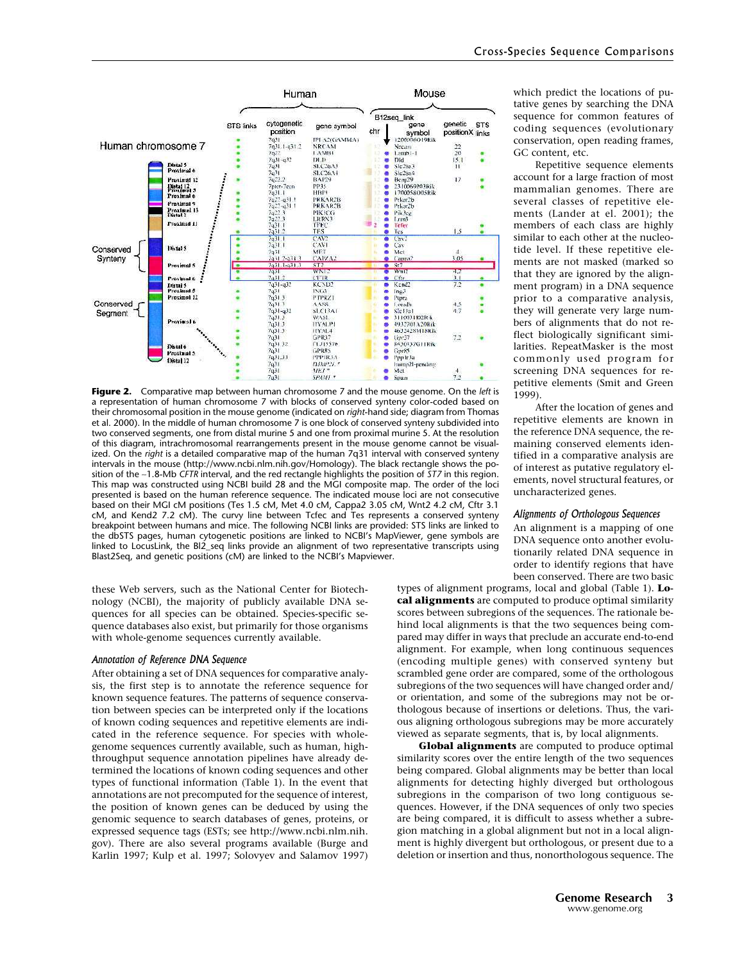

Figure 2. Comparative map between human chromosome 7 and the mouse genome. On the left is a representation of human chromosome 7 with blocks of conserved synteny color-coded based on their chromosomal position in the mouse genome (indicated on right-hand side; diagram from Thomas et al. 2000). In the middle of human chromosome 7 is one block of conserved synteny subdivided into two conserved segments, one from distal murine 5 and one from proximal murine 5. At the resolution of this diagram, intrachromosomal rearrangements present in the mouse genome cannot be visualized. On the right is a detailed comparative map of the human 7q31 interval with conserved synteny intervals in the mouse (http://www.ncbi.nlm.nih.gov/Homology). The black rectangle shows the position of the ∼1.8-Mb CFTR interval, and the red rectangle highlights the position of ST7 in this region. This map was constructed using NCBI build 28 and the MGI composite map. The order of the loci presented is based on the human reference sequence. The indicated mouse loci are not consecutive based on their MGI cM positions (Tes 1.5cM, Met 4.0 cM, Cappa2 3.05cM, Wnt2 4.2 cM, Cftr 3.1 cM, and Kend2 7.2 cM). The curvy line between Tcfec and Tes represents a conserved synteny breakpoint between humans and mice. The following NCBI links are provided: STS links are linked to the dbSTS pages, human cytogenetic positions are linked to NCBI's MapViewer, gene symbols are linked to LocusLink, the Bl2\_seq links provide an alignment of two representative transcripts using Blast2Seq, and genetic positions (cM) are linked to the NCBI's Mapviewer.

these Web servers, such as the National Center for Biotechnology (NCBI), the majority of publicly available DNA sequences for all species can be obtained. Species-specific sequence databases also exist, but primarily for those organisms with whole-genome sequences currently available.

### Annotation of Reference DNA Sequence

After obtaining a set of DNA sequences for comparative analysis, the first step is to annotate the reference sequence for known sequence features. The patterns of sequence conservation between species can be interpreted only if the locations of known coding sequences and repetitive elements are indicated in the reference sequence. For species with wholegenome sequences currently available, such as human, highthroughput sequence annotation pipelines have already determined the locations of known coding sequences and other types of functional information (Table 1). In the event that annotations are not precomputed for the sequence of interest, the position of known genes can be deduced by using the genomic sequence to search databases of genes, proteins, or expressed sequence tags (ESTs; see http://www.ncbi.nlm.nih. gov). There are also several programs available (Burge and Karlin 1997; Kulp et al. 1997; Solovyev and Salamov 1997) which predict the locations of putative genes by searching the DNA sequence for common features of coding sequences (evolutionary conservation, open reading frames, GC content, etc.

Repetitive sequence elements account for a large fraction of most mammalian genomes. There are several classes of repetitive elements (Lander at el. 2001); the members of each class are highly similar to each other at the nucleotide level. If these repetitive elements are not masked (marked so that they are ignored by the alignment program) in a DNA sequence prior to a comparative analysis, they will generate very large numbers of alignments that do not reflect biologically significant similarities. RepeatMasker is the most commonly used program for screening DNA sequences for repetitive elements (Smit and Green 1999).

After the location of genes and repetitive elements are known in the reference DNA sequence, the remaining conserved elements identified in a comparative analysis are of interest as putative regulatory elements, novel structural features, or uncharacterized genes.

### Alignments of Orthologous Sequences

An alignment is a mapping of one DNA sequence onto another evolutionarily related DNA sequence in order to identify regions that have been conserved. There are two basic

types of alignment programs, local and global (Table 1). Local alignments are computed to produce optimal similarity scores between subregions of the sequences. The rationale behind local alignments is that the two sequences being compared may differ in ways that preclude an accurate end-to-end alignment. For example, when long continuous sequences (encoding multiple genes) with conserved synteny but scrambled gene order are compared, some of the orthologous subregions of the two sequences will have changed order and/ or orientation, and some of the subregions may not be orthologous because of insertions or deletions. Thus, the various aligning orthologous subregions may be more accurately viewed as separate segments, that is, by local alignments.

Global alignments are computed to produce optimal similarity scores over the entire length of the two sequences being compared. Global alignments may be better than local alignments for detecting highly diverged but orthologous subregions in the comparison of two long contiguous sequences. However, if the DNA sequences of only two species are being compared, it is difficult to assess whether a subregion matching in a global alignment but not in a local alignment is highly divergent but orthologous, or present due to a deletion or insertion and thus, nonorthologous sequence. The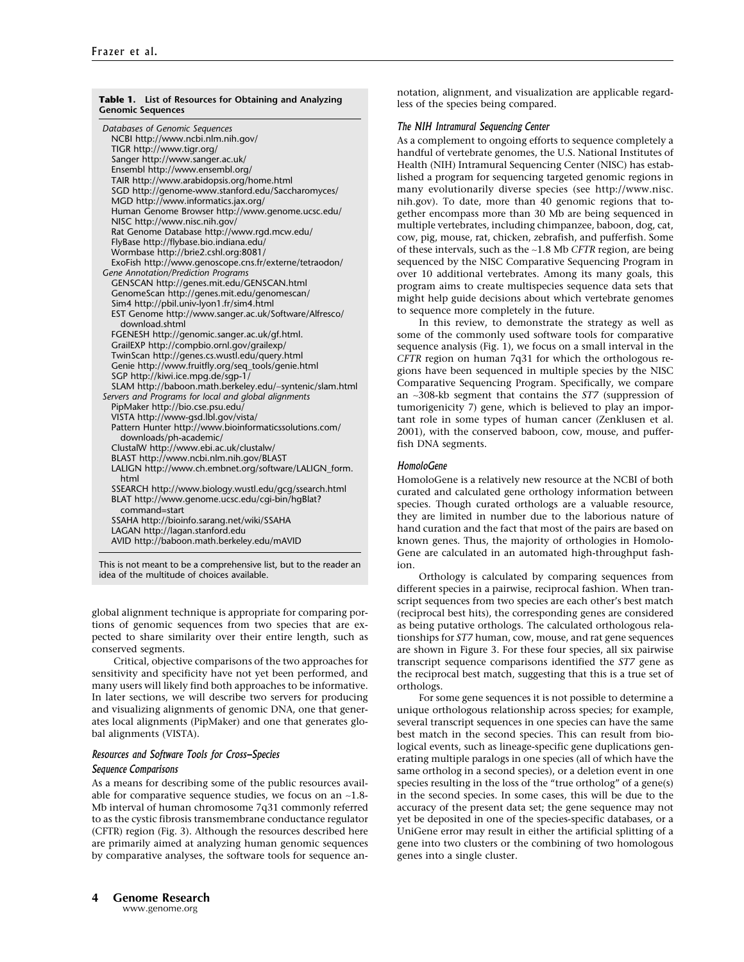| Databases of Genomic Sequences                                                                |  |
|-----------------------------------------------------------------------------------------------|--|
| NCBI http://www.ncbi.nlm.nih.gov/                                                             |  |
| TIGR http://www.tigr.org/<br>Sanger http://www.sanger.ac.uk/                                  |  |
| Ensembl http://www.ensembl.org/                                                               |  |
| TAIR http://www.arabidopsis.org/home.html                                                     |  |
| SGD http://genome-www.stanford.edu/Saccharomyces/                                             |  |
| MGD http://www.informatics.jax.org/                                                           |  |
| Human Genome Browser http://www.genome.ucsc.edu/                                              |  |
| NISC http://www.nisc.nih.gov/                                                                 |  |
| Rat Genome Database http://www.rqd.mcw.edu/                                                   |  |
| FlyBase http://flybase.bio.indiana.edu/                                                       |  |
| Wormbase http://brie2.cshl.org:8081/                                                          |  |
| ExoFish http://www.genoscope.cns.fr/externe/tetraodon/                                        |  |
| Gene Annotation/Prediction Programs                                                           |  |
| GENSCAN http://genes.mit.edu/GENSCAN.html                                                     |  |
| GenomeScan http://genes.mit.edu/genomescan/                                                   |  |
| Sim4 http://pbil.univ-lyon1.fr/sim4.html                                                      |  |
| EST Genome http://www.sanger.ac.uk/Software/Alfresco/                                         |  |
| download.shtml                                                                                |  |
| FGENESH http://genomic.sanger.ac.uk/gf.html.                                                  |  |
| GrailEXP http://compbio.ornl.gov/grailexp/                                                    |  |
| TwinScan http://genes.cs.wustl.edu/guery.html                                                 |  |
| Genie http://www.fruitfly.org/seg_tools/genie.html                                            |  |
| SGP http://kiwi.ice.mpg.de/sgp-1/                                                             |  |
| SLAM http://baboon.math.berkeley.edu/~syntenic/slam.html                                      |  |
| Servers and Programs for local and global alignments                                          |  |
| PipMaker http://bio.cse.psu.edu/                                                              |  |
| VISTA http://www-gsd.lbl.gov/vista/<br>Pattern Hunter http://www.bioinformaticssolutions.com/ |  |
| downloads/ph-academic/                                                                        |  |
| ClustalW http://www.ebi.ac.uk/clustalw/                                                       |  |
| BLAST http://www.ncbi.nlm.nih.gov/BLAST                                                       |  |
| LALIGN http://www.ch.embnet.org/software/LALIGN form.<br>html                                 |  |
| SSEARCH http://www.biology.wustl.edu/gcg/ssearch.html                                         |  |
| BLAT http://www.genome.ucsc.edu/cgi-bin/hgBlat?                                               |  |
| command=start                                                                                 |  |
| SSAHA http://bioinfo.sarang.net/wiki/SSAHA                                                    |  |
| LAGAN http://lagan.stanford.edu<br>AVID http://baboon.math.berkeley.edu/mAVID                 |  |

global alignment technique is appropriate for comparing portions of genomic sequences from two species that are expected to share similarity over their entire length, such as conserved segments.

Critical, objective comparisons of the two approaches for sensitivity and specificity have not yet been performed, and many users will likely find both approaches to be informative. In later sections, we will describe two servers for producing and visualizing alignments of genomic DNA, one that generates local alignments (PipMaker) and one that generates global alignments (VISTA).

# Resources and Software Tools for Cross-Species

idea of the multitude of choices available.

### Sequence Comparisons

As a means for describing some of the public resources available for comparative sequence studies, we focus on an ∼1.8- Mb interval of human chromosome 7q31 commonly referred to as the cystic fibrosis transmembrane conductance regulator (CFTR) region (Fig. 3). Although the resources described here are primarily aimed at analyzing human genomic sequences by comparative analyses, the software tools for sequence annotation, alignment, and visualization are applicable regardless of the species being compared.

### The NIH Intramural Sequencing Center

As a complement to ongoing efforts to sequence completely a handful of vertebrate genomes, the U.S. National Institutes of Health (NIH) Intramural Sequencing Center (NISC) has established a program for sequencing targeted genomic regions in many evolutionarily diverse species (see http://www.nisc. nih.gov). To date, more than 40 genomic regions that together encompass more than 30 Mb are being sequenced in multiple vertebrates, including chimpanzee, baboon, dog, cat, cow, pig, mouse, rat, chicken, zebrafish, and pufferfish. Some of these intervals, such as the ∼1.8 Mb CFTR region, are being sequenced by the NISC Comparative Sequencing Program in over 10 additional vertebrates. Among its many goals, this program aims to create multispecies sequence data sets that might help guide decisions about which vertebrate genomes to sequence more completely in the future.

In this review, to demonstrate the strategy as well as some of the commonly used software tools for comparative sequence analysis (Fig. 1), we focus on a small interval in the CFTR region on human 7q31 for which the orthologous regions have been sequenced in multiple species by the NISC Comparative Sequencing Program. Specifically, we compare an ∼308-kb segment that contains the ST7 (suppression of tumorigenicity 7) gene, which is believed to play an important role in some types of human cancer (Zenklusen et al. 2001), with the conserved baboon, cow, mouse, and pufferfish DNA segments.

### **HomoloGene**

HomoloGene is a relatively new resource at the NCBI of both curated and calculated gene orthology information between species. Though curated orthologs are a valuable resource, they are limited in number due to the laborious nature of hand curation and the fact that most of the pairs are based on known genes. Thus, the majority of orthologies in Homolo-Gene are calculated in an automated high-throughput fashion.

Orthology is calculated by comparing sequences from different species in a pairwise, reciprocal fashion. When transcript sequences from two species are each other's best match (reciprocal best hits), the corresponding genes are considered as being putative orthologs. The calculated orthologous relationships for ST7 human, cow, mouse, and rat gene sequences are shown in Figure 3. For these four species, all six pairwise transcript sequence comparisons identified the ST7 gene as the reciprocal best match, suggesting that this is a true set of orthologs.

For some gene sequences it is not possible to determine a unique orthologous relationship across species; for example, several transcript sequences in one species can have the same best match in the second species. This can result from biological events, such as lineage-specific gene duplications generating multiple paralogs in one species (all of which have the same ortholog in a second species), or a deletion event in one species resulting in the loss of the "true ortholog" of a gene(s) in the second species. In some cases, this will be due to the accuracy of the present data set; the gene sequence may not yet be deposited in one of the species-specific databases, or a UniGene error may result in either the artificial splitting of a gene into two clusters or the combining of two homologous genes into a single cluster.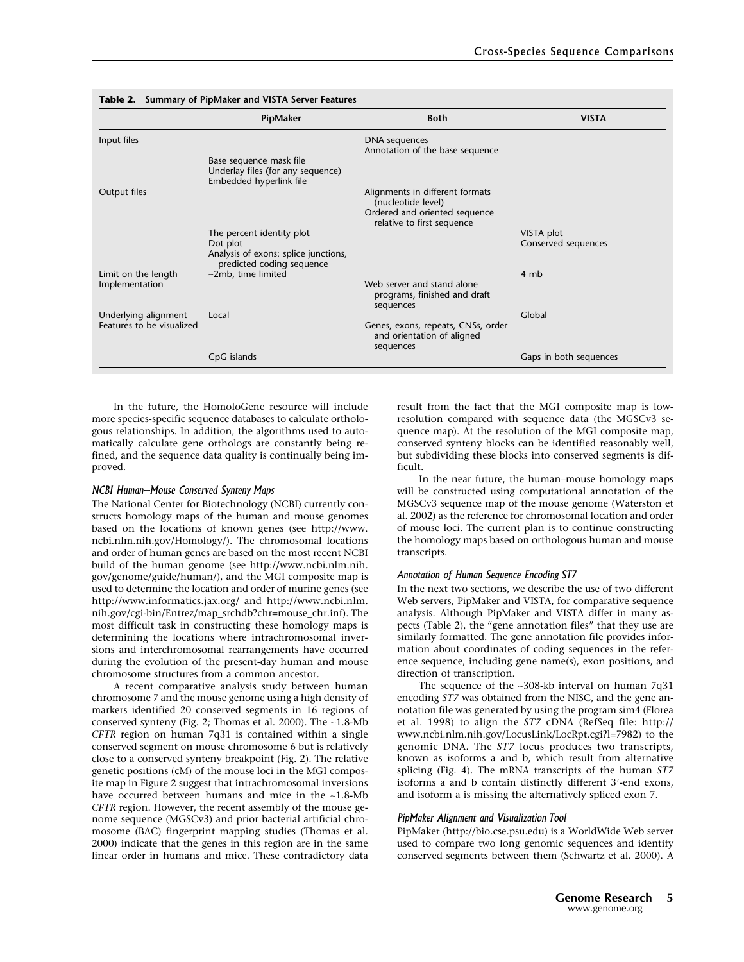|                           | PipMaker                             | <b>Both</b>                        | <b>VISTA</b>           |
|---------------------------|--------------------------------------|------------------------------------|------------------------|
| Input files               |                                      | DNA sequences                      |                        |
|                           |                                      | Annotation of the base sequence    |                        |
|                           | Base sequence mask file              |                                    |                        |
|                           | Underlay files (for any sequence)    |                                    |                        |
|                           | Embedded hyperlink file              |                                    |                        |
| Output files              |                                      | Alignments in different formats    |                        |
|                           |                                      | (nucleotide level)                 |                        |
|                           |                                      | Ordered and oriented sequence      |                        |
|                           |                                      | relative to first sequence         |                        |
|                           | The percent identity plot            |                                    | VISTA plot             |
|                           | Dot plot                             |                                    | Conserved sequences    |
|                           | Analysis of exons: splice junctions, |                                    |                        |
|                           | predicted coding sequence            |                                    |                        |
| Limit on the length       | $\sim$ 2mb, time limited             |                                    | 4 mb                   |
| Implementation            |                                      | Web server and stand alone         |                        |
|                           |                                      | programs, finished and draft       |                        |
|                           |                                      | sequences                          |                        |
| Underlying alignment      | Local                                |                                    | Global                 |
| Features to be visualized |                                      | Genes, exons, repeats, CNSs, order |                        |
|                           |                                      | and orientation of aligned         |                        |
|                           |                                      | sequences                          |                        |
|                           | CpG islands                          |                                    | Gaps in both sequences |

# Table 2. Summary of PipMaker and VISTA Server Features

In the future, the HomoloGene resource will include more species-specific sequence databases to calculate orthologous relationships. In addition, the algorithms used to automatically calculate gene orthologs are constantly being refined, and the sequence data quality is continually being improved.

### NCBI Human–Mouse Conserved Synteny Maps

The National Center for Biotechnology (NCBI) currently constructs homology maps of the human and mouse genomes based on the locations of known genes (see http://www. ncbi.nlm.nih.gov/Homology/). The chromosomal locations and order of human genes are based on the most recent NCBI build of the human genome (see http://www.ncbi.nlm.nih. gov/genome/guide/human/), and the MGI composite map is used to determine the location and order of murine genes (see http://www.informatics.jax.org/ and http://www.ncbi.nlm. nih.gov/cgi-bin/Entrez/map\_srchdb?chr=mouse\_chr.inf). The most difficult task in constructing these homology maps is determining the locations where intrachromosomal inversions and interchromosomal rearrangements have occurred during the evolution of the present-day human and mouse chromosome structures from a common ancestor.

A recent comparative analysis study between human chromosome 7 and the mouse genome using a high density of markers identified 20 conserved segments in 16 regions of conserved synteny (Fig. 2; Thomas et al. 2000). The ∼1.8-Mb CFTR region on human 7q31 is contained within a single conserved segment on mouse chromosome 6 but is relatively close to a conserved synteny breakpoint (Fig. 2). The relative genetic positions (cM) of the mouse loci in the MGI composite map in Figure 2 suggest that intrachromosomal inversions have occurred between humans and mice in the ∼1.8-Mb CFTR region. However, the recent assembly of the mouse genome sequence (MGSCv3) and prior bacterial artificial chromosome (BAC) fingerprint mapping studies (Thomas et al. 2000) indicate that the genes in this region are in the same linear order in humans and mice. These contradictory data

result from the fact that the MGI composite map is lowresolution compared with sequence data (the MGSCv3 sequence map). At the resolution of the MGI composite map, conserved synteny blocks can be identified reasonably well, but subdividing these blocks into conserved segments is difficult.

In the near future, the human–mouse homology maps will be constructed using computational annotation of the MGSCv3 sequence map of the mouse genome (Waterston et al. 2002) as the reference for chromosomal location and order of mouse loci. The current plan is to continue constructing the homology maps based on orthologous human and mouse transcripts.

### Annotation of Human Sequence Encoding ST7

In the next two sections, we describe the use of two different Web servers, PipMaker and VISTA, for comparative sequence analysis. Although PipMaker and VISTA differ in many aspects (Table 2), the "gene annotation files" that they use are similarly formatted. The gene annotation file provides information about coordinates of coding sequences in the reference sequence, including gene name(s), exon positions, and direction of transcription.

The sequence of the ∼308-kb interval on human 7q31 encoding ST7 was obtained from the NISC, and the gene annotation file was generated by using the program sim4 (Florea et al. 1998) to align the ST7 cDNA (RefSeq file: http:// www.ncbi.nlm.nih.gov/LocusLink/LocRpt.cgi?l=7982) to the genomic DNA. The ST7 locus produces two transcripts, known as isoforms a and b, which result from alternative splicing (Fig. 4). The mRNA transcripts of the human ST7 isoforms a and b contain distinctly different 3-end exons, and isoform a is missing the alternatively spliced exon 7.

### PipMaker Alignment and Visualization Tool

PipMaker (http://bio.cse.psu.edu) is a WorldWide Web server used to compare two long genomic sequences and identify conserved segments between them (Schwartz et al. 2000). A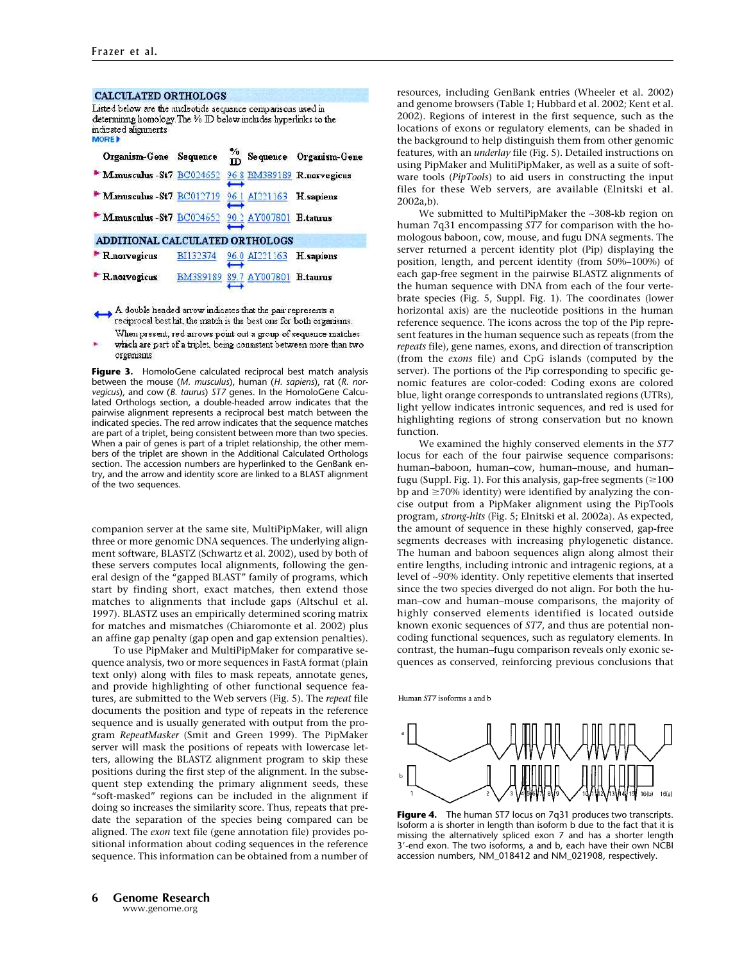### **CALCULATED ORTHOLOGS**

Listed below are the nucleotide sequence comparisons used in determining homology. The % ID below includes hyperlinks to the indicated alignments **MORE** 

| Organism-Gene Sequence                              |          | %<br>m                 | Sequence Organism-Gene |
|-----------------------------------------------------|----------|------------------------|------------------------|
| M.musculus -St7 BC024652 96.8 BM389189 R.norvegicus |          |                        |                        |
| <b>M.musculus - St7 BC012719 96 1 AI221163</b>      |          |                        | H.sapiens              |
| M.musculus -St7 BC024652 90.2 AY007801 E.taurus     |          |                        |                        |
| <b>ADDITIONAL CALCULATED ORTHOLOGS</b>              |          |                        |                        |
| <b>K.norvegicus</b>                                 | BI132374 | 96.0 AI221163          | <b>H</b> sapiens       |
| <b>E.norvegicus</b>                                 |          | BM389189 89.7 AY007801 | <b>B</b> .taurus       |

A double headed arrow indicates that the pair represents a reciprocal best hit, the match is the best one for both organisms.

When present, red arrows point out a group of sequence matches which are part of a triplet, being consistent between more than two organisms

Figure 3. HomoloGene calculated reciprocal best match analysis between the mouse (M. musculus), human (H. sapiens), rat (R. norvegicus), and cow (B. taurus) ST7 genes. In the HomoloGene Calculated Orthologs section, a double-headed arrow indicates that the pairwise alignment represents a reciprocal best match between the indicated species. The red arrow indicates that the sequence matches are part of a triplet, being consistent between more than two species. When a pair of genes is part of a triplet relationship, the other members of the triplet are shown in the Additional Calculated Orthologs section. The accession numbers are hyperlinked to the GenBank entry, and the arrow and identity score are linked to a BLAST alignment of the two sequences.

companion server at the same site, MultiPipMaker, will align three or more genomic DNA sequences. The underlying alignment software, BLASTZ (Schwartz et al. 2002), used by both of these servers computes local alignments, following the general design of the "gapped BLAST" family of programs, which start by finding short, exact matches, then extend those matches to alignments that include gaps (Altschul et al. 1997). BLASTZ uses an empirically determined scoring matrix for matches and mismatches (Chiaromonte et al. 2002) plus an affine gap penalty (gap open and gap extension penalties).

To use PipMaker and MultiPipMaker for comparative sequence analysis, two or more sequences in FastA format (plain text only) along with files to mask repeats, annotate genes, and provide highlighting of other functional sequence features, are submitted to the Web servers (Fig. 5). The repeat file documents the position and type of repeats in the reference sequence and is usually generated with output from the program RepeatMasker (Smit and Green 1999). The PipMaker server will mask the positions of repeats with lowercase letters, allowing the BLASTZ alignment program to skip these positions during the first step of the alignment. In the subsequent step extending the primary alignment seeds, these "soft-masked" regions can be included in the alignment if doing so increases the similarity score. Thus, repeats that predate the separation of the species being compared can be aligned. The exon text file (gene annotation file) provides positional information about coding sequences in the reference sequence. This information can be obtained from a number of resources, including GenBank entries (Wheeler et al. 2002) and genome browsers (Table 1; Hubbard et al. 2002; Kent et al. 2002). Regions of interest in the first sequence, such as the locations of exons or regulatory elements, can be shaded in the background to help distinguish them from other genomic features, with an underlay file (Fig. 5). Detailed instructions on using PipMaker and MulitiPipMaker, as well as a suite of software tools (PipTools) to aid users in constructing the input files for these Web servers, are available (Elnitski et al. 2002a,b).

We submitted to MultiPipMaker the ∼308-kb region on human 7q31 encompassing ST7 for comparison with the homologous baboon, cow, mouse, and fugu DNA segments. The server returned a percent identity plot (Pip) displaying the position, length, and percent identity (from 50%–100%) of each gap-free segment in the pairwise BLASTZ alignments of the human sequence with DNA from each of the four vertebrate species (Fig. 5, Suppl. Fig. 1). The coordinates (lower horizontal axis) are the nucleotide positions in the human reference sequence. The icons across the top of the Pip represent features in the human sequence such as repeats (from the repeats file), gene names, exons, and direction of transcription (from the exons file) and CpG islands (computed by the server). The portions of the Pip corresponding to specific genomic features are color-coded: Coding exons are colored blue, light orange corresponds to untranslated regions (UTRs), light yellow indicates intronic sequences, and red is used for highlighting regions of strong conservation but no known function.

We examined the highly conserved elements in the ST7 locus for each of the four pairwise sequence comparisons: human–baboon, human–cow, human–mouse, and human– fugu (Suppl. Fig. 1). For this analysis, gap-free segments ( $\geq$ 100 bp and  $\geq$ 70% identity) were identified by analyzing the concise output from a PipMaker alignment using the PipTools program, strong-hits (Fig. 5; Elnitski et al. 2002a). As expected, the amount of sequence in these highly conserved, gap-free segments decreases with increasing phylogenetic distance. The human and baboon sequences align along almost their entire lengths, including intronic and intragenic regions, at a level of ∼90% identity. Only repetitive elements that inserted since the two species diverged do not align. For both the human–cow and human–mouse comparisons, the majority of highly conserved elements identified is located outside known exonic sequences of ST7, and thus are potential noncoding functional sequences, such as regulatory elements. In contrast, the human–fugu comparison reveals only exonic sequences as conserved, reinforcing previous conclusions that

Human ST7 isoforms a and b



Figure 4. The human ST7 locus on 7q31 produces two transcripts. Isoform a is shorter in length than isoform b due to the fact that it is missing the alternatively spliced exon 7 and has a shorter length 3-end exon. The two isoforms, a and b, each have their own NCBI accession numbers, NM\_018412 and NM\_021908, respectively.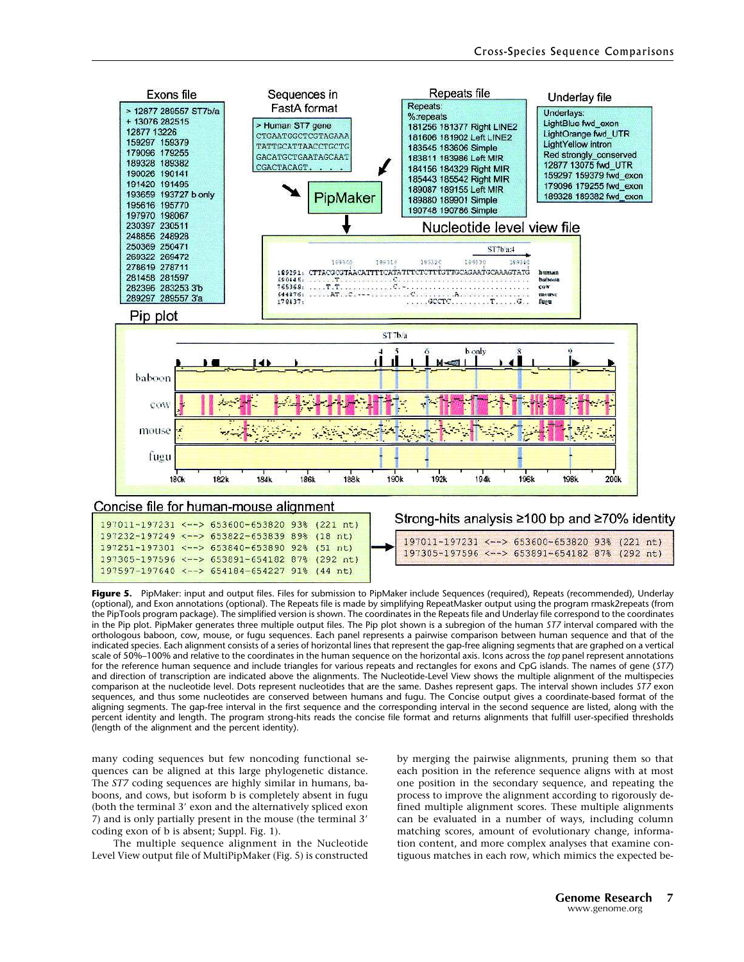

197305-197596 <--> 653891-654182 87% (292 nt) 197597-197640 <--> 654184-654227 91% (44 nt) Fiqure 5. PipMaker: input and output files. Files for submission to PipMaker include Sequences (required), Repeats (recommended), Underlay (optional), and Exon annotations (optional). The Repeats file is made by simplifying RepeatMasker output using the program rmask2repeats (from the PipTools program package). The simplified version is shown. The coordinates in the Repeats file and Underlay file correspond to the coordinates in the Pip plot. PipMaker generates three multiple output files. The Pip plot shown is a subregion of the human ST7 interval compared with the orthologous baboon, cow, mouse, or fugu sequences. Each panel represents a pairwise comparison between human sequence and that of the indicated species. Each alignment consists of a series of horizontal lines that represent the gap-free aligning segments that are graphed on a vertical scale of 50%–100% and relative to the coordinates in the human sequence on the horizontal axis. Icons across the top panel represent annotations for the reference human sequence and include triangles for various repeats and rectangles for exons and CpG islands. The names of gene (ST7) and direction of transcription are indicated above the alignments. The Nucleotide-Level View shows the multiple alignment of the multispecies comparison at the nucleotide level. Dots represent nucleotides that are the same. Dashes represent gaps. The interval shown includes ST7 exon sequences, and thus some nucleotides are conserved between humans and fugu. The Concise output gives a coordinate-based format of the aligning segments. The gap-free interval in the first sequence and the corresponding interval in the second sequence are listed, along with the

percent identity and length. The program strong-hits reads the concise file format and returns alignments that fulfill user-specified thresholds

many coding sequences but few noncoding functional sequences can be aligned at this large phylogenetic distance. The ST7 coding sequences are highly similar in humans, baboons, and cows, but isoform b is completely absent in fugu (both the terminal 3' exon and the alternatively spliced exon 7) and is only partially present in the mouse (the terminal 3

(length of the alignment and the percent identity).

coding exon of b is absent; Suppl. Fig. 1). The multiple sequence alignment in the Nucleotide Level View output file of MultiPipMaker (Fig. 5) is constructed by merging the pairwise alignments, pruning them so that each position in the reference sequence aligns with at most one position in the secondary sequence, and repeating the process to improve the alignment according to rigorously defined multiple alignment scores. These multiple alignments can be evaluated in a number of ways, including column matching scores, amount of evolutionary change, information content, and more complex analyses that examine contiguous matches in each row, which mimics the expected be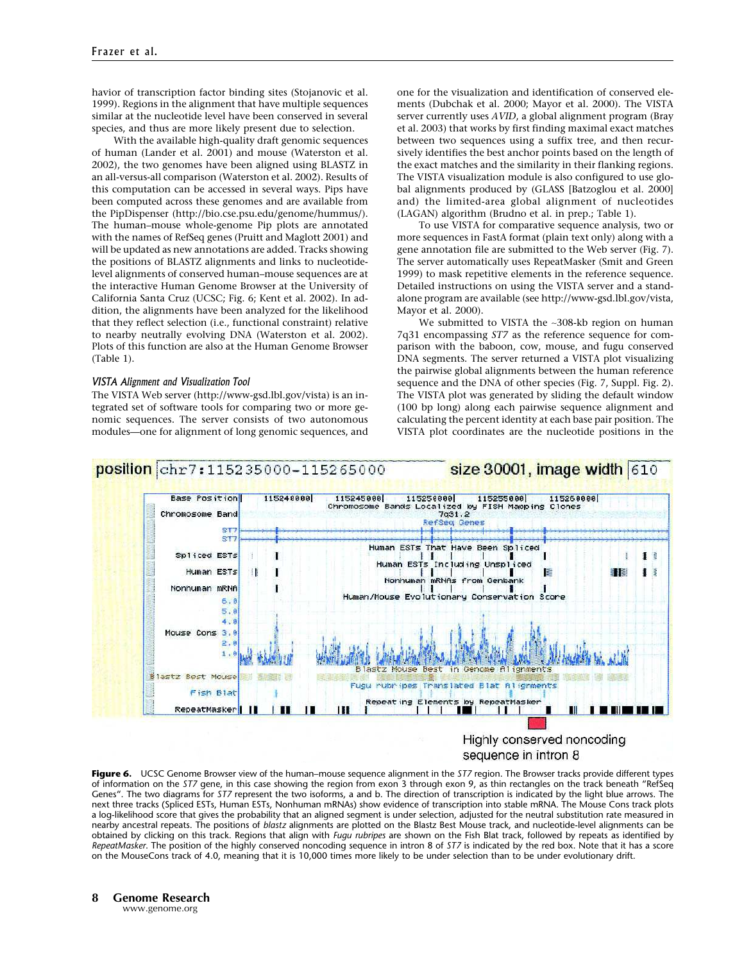havior of transcription factor binding sites (Stojanovic et al. 1999). Regions in the alignment that have multiple sequences similar at the nucleotide level have been conserved in several species, and thus are more likely present due to selection.

With the available high-quality draft genomic sequences of human (Lander et al. 2001) and mouse (Waterston et al. 2002), the two genomes have been aligned using BLASTZ in an all-versus-all comparison (Waterston et al. 2002). Results of this computation can be accessed in several ways. Pips have been computed across these genomes and are available from the PipDispenser (http://bio.cse.psu.edu/genome/hummus/). The human–mouse whole-genome Pip plots are annotated with the names of RefSeq genes (Pruitt and Maglott 2001) and will be updated as new annotations are added. Tracks showing the positions of BLASTZ alignments and links to nucleotidelevel alignments of conserved human–mouse sequences are at the interactive Human Genome Browser at the University of California Santa Cruz (UCSC; Fig. 6; Kent et al. 2002). In addition, the alignments have been analyzed for the likelihood that they reflect selection (i.e., functional constraint) relative to nearby neutrally evolving DNA (Waterston et al. 2002). Plots of this function are also at the Human Genome Browser (Table 1).

### VISTA Alignment and Visualization Tool

The VISTA Web server (http://www-gsd.lbl.gov/vista) is an integrated set of software tools for comparing two or more genomic sequences. The server consists of two autonomous modules—one for alignment of long genomic sequences, and one for the visualization and identification of conserved elements (Dubchak et al. 2000; Mayor et al. 2000). The VISTA server currently uses AVID, a global alignment program (Bray et al. 2003) that works by first finding maximal exact matches between two sequences using a suffix tree, and then recursively identifies the best anchor points based on the length of the exact matches and the similarity in their flanking regions. The VISTA visualization module is also configured to use global alignments produced by (GLASS [Batzoglou et al. 2000] and) the limited-area global alignment of nucleotides (LAGAN) algorithm (Brudno et al. in prep.; Table 1).

To use VISTA for comparative sequence analysis, two or more sequences in FastA format (plain text only) along with a gene annotation file are submitted to the Web server (Fig. 7). The server automatically uses RepeatMasker (Smit and Green 1999) to mask repetitive elements in the reference sequence. Detailed instructions on using the VISTA server and a standalone program are available (see http://www-gsd.lbl.gov/vista, Mayor et al. 2000).

We submitted to VISTA the ∼308-kb region on human 7q31 encompassing ST7 as the reference sequence for comparison with the baboon, cow, mouse, and fugu conserved DNA segments. The server returned a VISTA plot visualizing the pairwise global alignments between the human reference sequence and the DNA of other species (Fig. 7, Suppl. Fig. 2). The VISTA plot was generated by sliding the default window (100 bp long) along each pairwise sequence alignment and calculating the percent identity at each base pair position. The VISTA plot coordinates are the nucleotide positions in the



sequence in intron 8

Figure 6. UCSC Genome Browser view of the human–mouse sequence alignment in the ST7 region. The Browser tracks provide different types of information on the ST7 gene, in this case showing the region from exon 3 through exon 9, as thin rectangles on the track beneath "RefSeq Genes". The two diagrams for ST7 represent the two isoforms, a and b. The direction of transcription is indicated by the light blue arrows. The next three tracks (Spliced ESTs, Human ESTs, Nonhuman mRNAs) show evidence of transcription into stable mRNA. The Mouse Cons track plots a log-likelihood score that gives the probability that an aligned segment is under selection, adjusted for the neutral substitution rate measured in nearby ancestral repeats. The positions of blastz alignments are plotted on the Blastz Best Mouse track, and nucleotide-level alignments can be obtained by clicking on this track. Regions that align with Fugu rubripes are shown on the Fish Blat track, followed by repeats as identified by RepeatMasker. The position of the highly conserved noncoding sequence in intron 8 of ST7 is indicated by the red box. Note that it has a score on the MouseCons track of 4.0, meaning that it is 10,000 times more likely to be under selection than to be under evolutionary drift.

#### 8 Genome Research www.genome.org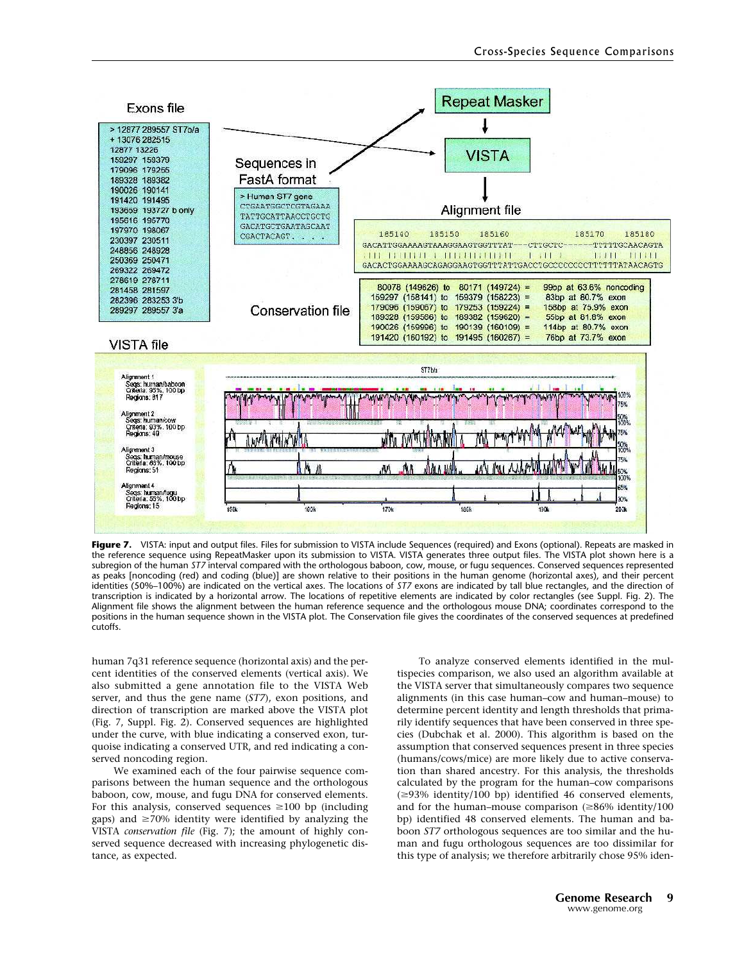

Figure 7. VISTA: input and output files. Files for submission to VISTA include Sequences (required) and Exons (optional). Repeats are masked in the reference sequence using RepeatMasker upon its submission to VISTA. VISTA generates three output files. The VISTA plot shown here is a subregion of the human ST7 interval compared with the orthologous baboon, cow, mouse, or fugu sequences. Conserved sequences represented as peaks [noncoding (red) and coding (blue)] are shown relative to their positions in the human genome (horizontal axes), and their percent identities (50%–100%) are indicated on the vertical axes. The locations of ST7 exons are indicated by tall blue rectangles, and the direction of transcription is indicated by a horizontal arrow. The locations of repetitive elements are indicated by color rectangles (see Suppl. Fig. 2). The Alignment file shows the alignment between the human reference sequence and the orthologous mouse DNA; coordinates correspond to the positions in the human sequence shown in the VISTA plot. The Conservation file gives the coordinates of the conserved sequences at predefined cutoffs.

human 7q31 reference sequence (horizontal axis) and the percent identities of the conserved elements (vertical axis). We also submitted a gene annotation file to the VISTA Web server, and thus the gene name (ST7), exon positions, and direction of transcription are marked above the VISTA plot (Fig. 7, Suppl. Fig. 2). Conserved sequences are highlighted under the curve, with blue indicating a conserved exon, turquoise indicating a conserved UTR, and red indicating a conserved noncoding region.

We examined each of the four pairwise sequence comparisons between the human sequence and the orthologous baboon, cow, mouse, and fugu DNA for conserved elements. For this analysis, conserved sequences  $\geq 100$  bp (including gaps) and  $\geq 70\%$  identity were identified by analyzing the VISTA conservation file (Fig. 7); the amount of highly conserved sequence decreased with increasing phylogenetic distance, as expected.

To analyze conserved elements identified in the multispecies comparison, we also used an algorithm available at the VISTA server that simultaneously compares two sequence alignments (in this case human–cow and human–mouse) to determine percent identity and length thresholds that primarily identify sequences that have been conserved in three species (Dubchak et al. 2000). This algorithm is based on the assumption that conserved sequences present in three species (humans/cows/mice) are more likely due to active conservation than shared ancestry. For this analysis, the thresholds calculated by the program for the human–cow comparisons  $(\geq 93\%$  identity/100 bp) identified 46 conserved elements, and for the human–mouse comparison  $(\geq 86\%$  identity/100 bp) identified 48 conserved elements. The human and baboon ST7 orthologous sequences are too similar and the human and fugu orthologous sequences are too dissimilar for this type of analysis; we therefore arbitrarily chose 95% iden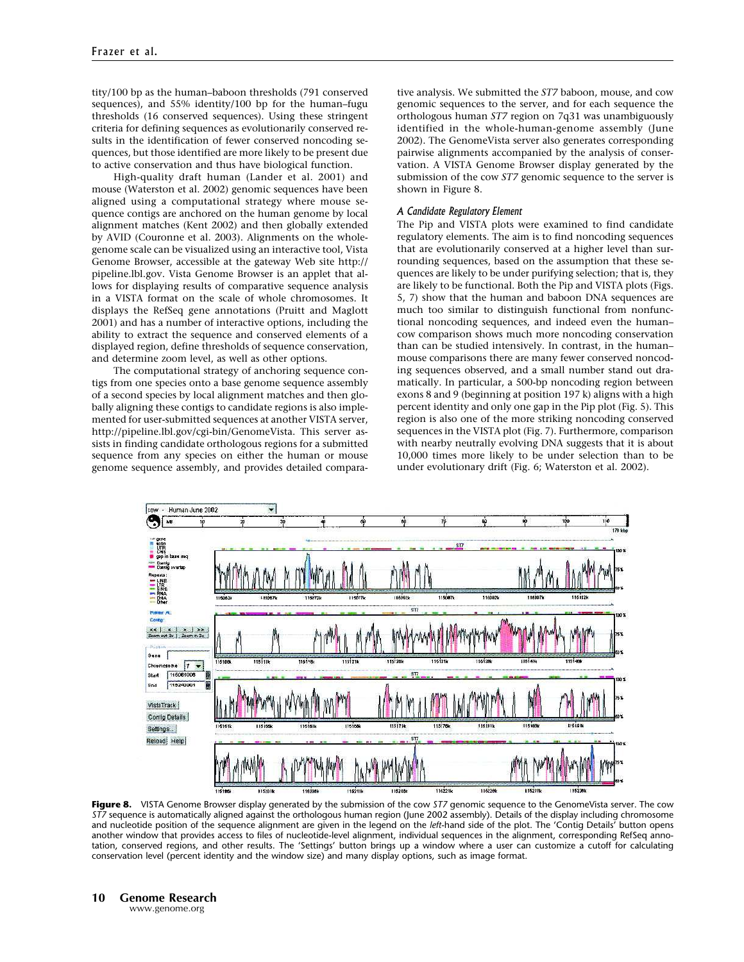tity/100 bp as the human–baboon thresholds (791 conserved sequences), and 55% identity/100 bp for the human–fugu thresholds (16 conserved sequences). Using these stringent criteria for defining sequences as evolutionarily conserved results in the identification of fewer conserved noncoding sequences, but those identified are more likely to be present due to active conservation and thus have biological function.

High-quality draft human (Lander et al. 2001) and mouse (Waterston et al. 2002) genomic sequences have been aligned using a computational strategy where mouse sequence contigs are anchored on the human genome by local alignment matches (Kent 2002) and then globally extended by AVID (Couronne et al. 2003). Alignments on the wholegenome scale can be visualized using an interactive tool, Vista Genome Browser, accessible at the gateway Web site http:// pipeline.lbl.gov. Vista Genome Browser is an applet that allows for displaying results of comparative sequence analysis in a VISTA format on the scale of whole chromosomes. It displays the RefSeq gene annotations (Pruitt and Maglott 2001) and has a number of interactive options, including the ability to extract the sequence and conserved elements of a displayed region, define thresholds of sequence conservation, and determine zoom level, as well as other options.

The computational strategy of anchoring sequence contigs from one species onto a base genome sequence assembly of a second species by local alignment matches and then globally aligning these contigs to candidate regions is also implemented for user-submitted sequences at another VISTA server, http://pipeline.lbl.gov/cgi-bin/GenomeVista. This server assists in finding candidate orthologous regions for a submitted sequence from any species on either the human or mouse genome sequence assembly, and provides detailed comparative analysis. We submitted the ST7 baboon, mouse, and cow genomic sequences to the server, and for each sequence the orthologous human ST7 region on 7q31 was unambiguously identified in the whole-human-genome assembly (June 2002). The GenomeVista server also generates corresponding pairwise alignments accompanied by the analysis of conservation. A VISTA Genome Browser display generated by the submission of the cow ST7 genomic sequence to the server is shown in Figure 8.

### A Candidate Regulatory Element

The Pip and VISTA plots were examined to find candidate regulatory elements. The aim is to find noncoding sequences that are evolutionarily conserved at a higher level than surrounding sequences, based on the assumption that these sequences are likely to be under purifying selection; that is, they are likely to be functional. Both the Pip and VISTA plots (Figs. 5, 7) show that the human and baboon DNA sequences are much too similar to distinguish functional from nonfunctional noncoding sequences, and indeed even the human– cow comparison shows much more noncoding conservation than can be studied intensively. In contrast, in the human– mouse comparisons there are many fewer conserved noncoding sequences observed, and a small number stand out dramatically. In particular, a 500-bp noncoding region between exons 8 and 9 (beginning at position 197 k) aligns with a high percent identity and only one gap in the Pip plot (Fig. 5). This region is also one of the more striking noncoding conserved sequences in the VISTA plot (Fig. 7). Furthermore, comparison with nearby neutrally evolving DNA suggests that it is about 10,000 times more likely to be under selection than to be under evolutionary drift (Fig. 6; Waterston et al. 2002).



Figure 8. VISTA Genome Browser display generated by the submission of the cow ST7 genomic sequence to the GenomeVista server. The cow ST7 sequence is automatically aligned against the orthologous human region (June 2002 assembly). Details of the display including chromosome and nucleotide position of the sequence alignment are given in the legend on the *left*-hand side of the plot. The 'Contig Details' button opens another window that provides access to files of nucleotide-level alignment, individual sequences in the alignment, corresponding RefSeq annotation, conserved regions, and other results. The 'Settings' button brings up a window where a user can customize a cutoff for calculating conservation level (percent identity and the window size) and many display options, such as image format.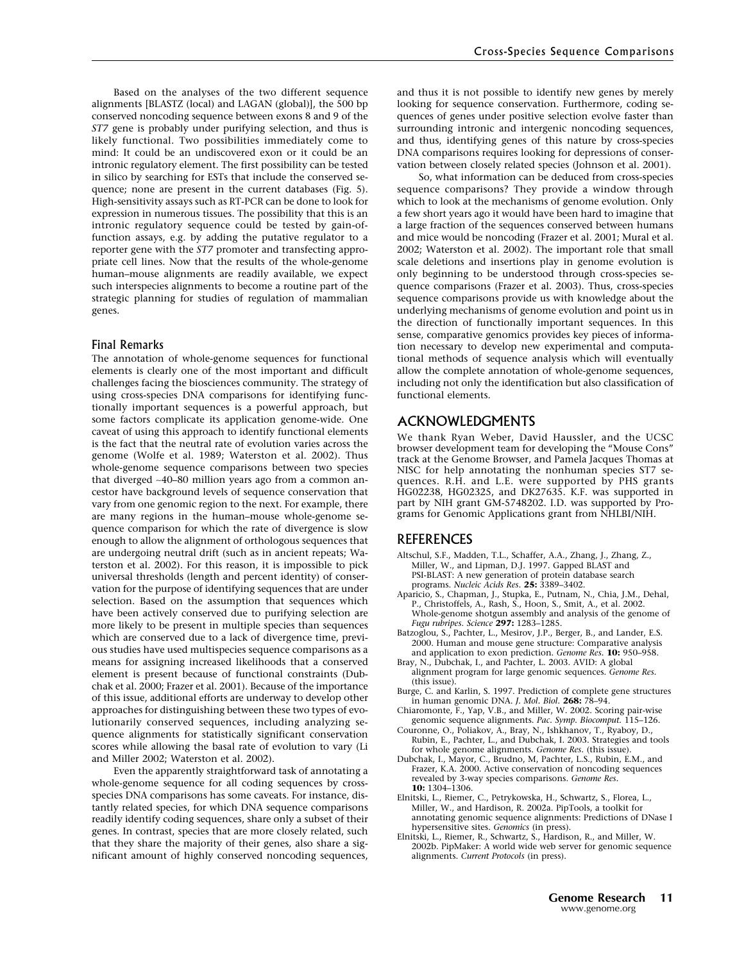Based on the analyses of the two different sequence alignments [BLASTZ (local) and LAGAN (global)], the 500 bp conserved noncoding sequence between exons 8 and 9 of the ST7 gene is probably under purifying selection, and thus is likely functional. Two possibilities immediately come to mind: It could be an undiscovered exon or it could be an intronic regulatory element. The first possibility can be tested in silico by searching for ESTs that include the conserved sequence; none are present in the current databases (Fig. 5). High-sensitivity assays such as RT-PCR can be done to look for expression in numerous tissues. The possibility that this is an intronic regulatory sequence could be tested by gain-offunction assays, e.g. by adding the putative regulator to a reporter gene with the ST7 promoter and transfecting appropriate cell lines. Now that the results of the whole-genome human–mouse alignments are readily available, we expect such interspecies alignments to become a routine part of the strategic planning for studies of regulation of mammalian genes.

### Final Remarks

The annotation of whole-genome sequences for functional elements is clearly one of the most important and difficult challenges facing the biosciences community. The strategy of using cross-species DNA comparisons for identifying functionally important sequences is a powerful approach, but some factors complicate its application genome-wide. One caveat of using this approach to identify functional elements is the fact that the neutral rate of evolution varies across the genome (Wolfe et al. 1989; Waterston et al. 2002). Thus whole-genome sequence comparisons between two species that diverged ∼40–80 million years ago from a common ancestor have background levels of sequence conservation that vary from one genomic region to the next. For example, there are many regions in the human–mouse whole-genome sequence comparison for which the rate of divergence is slow enough to allow the alignment of orthologous sequences that are undergoing neutral drift (such as in ancient repeats; Waterston et al. 2002). For this reason, it is impossible to pick universal thresholds (length and percent identity) of conservation for the purpose of identifying sequences that are under selection. Based on the assumption that sequences which have been actively conserved due to purifying selection are more likely to be present in multiple species than sequences which are conserved due to a lack of divergence time, previous studies have used multispecies sequence comparisons as a means for assigning increased likelihoods that a conserved element is present because of functional constraints (Dubchak et al. 2000; Frazer et al. 2001). Because of the importance of this issue, additional efforts are underway to develop other approaches for distinguishing between these two types of evolutionarily conserved sequences, including analyzing sequence alignments for statistically significant conservation scores while allowing the basal rate of evolution to vary (Li and Miller 2002; Waterston et al. 2002).

Even the apparently straightforward task of annotating a whole-genome sequence for all coding sequences by crossspecies DNA comparisons has some caveats. For instance, distantly related species, for which DNA sequence comparisons readily identify coding sequences, share only a subset of their genes. In contrast, species that are more closely related, such that they share the majority of their genes, also share a significant amount of highly conserved noncoding sequences, and thus it is not possible to identify new genes by merely looking for sequence conservation. Furthermore, coding sequences of genes under positive selection evolve faster than surrounding intronic and intergenic noncoding sequences, and thus, identifying genes of this nature by cross-species DNA comparisons requires looking for depressions of conservation between closely related species (Johnson et al. 2001).

So, what information can be deduced from cross-species sequence comparisons? They provide a window through which to look at the mechanisms of genome evolution. Only a few short years ago it would have been hard to imagine that a large fraction of the sequences conserved between humans and mice would be noncoding (Frazer et al. 2001; Mural et al. 2002; Waterston et al. 2002). The important role that small scale deletions and insertions play in genome evolution is only beginning to be understood through cross-species sequence comparisons (Frazer et al. 2003). Thus, cross-species sequence comparisons provide us with knowledge about the underlying mechanisms of genome evolution and point us in the direction of functionally important sequences. In this sense, comparative genomics provides key pieces of information necessary to develop new experimental and computational methods of sequence analysis which will eventually allow the complete annotation of whole-genome sequences, including not only the identification but also classification of functional elements.

# ACKNOWLEDGMENTS

We thank Ryan Weber, David Haussler, and the UCSC browser development team for developing the "Mouse Cons" track at the Genome Browser, and Pamela Jacques Thomas at NISC for help annotating the nonhuman species ST7 sequences. R.H. and L.E. were supported by PHS grants HG02238, HG02325, and DK27635. K.F. was supported in part by NIH grant GM-5748202. I.D. was supported by Programs for Genomic Applications grant from NHLBI/NIH.

# REFERENCES

- Altschul, S.F., Madden, T.L., Schaffer, A.A., Zhang, J., Zhang, Z., Miller, W., and Lipman, D.J. 1997. Gapped BLAST and PSI-BLAST: A new generation of protein database search programs. Nucleic Acids Res. 25: 3389-3402.
- Aparicio, S., Chapman, J., Stupka, E., Putnam, N., Chia, J.M., Dehal, P., Christoffels, A., Rash, S., Hoon, S., Smit, A., et al. 2002. Whole-genome shotgun assembly and analysis of the genome of Fugu rubripes. Science 297: 1283–1285.
- Batzoglou, S., Pachter, L., Mesirov, J.P., Berger, B., and Lander, E.S. 2000. Human and mouse gene structure: Comparative analysis and application to exon prediction. Genome Res. 10: 950–958.
- Bray, N., Dubchak, I., and Pachter, L. 2003. AVID: A global alignment program for large genomic sequences. Genome Res. (this issue).
- Burge, C. and Karlin, S. 1997. Prediction of complete gene structures in human genomic DNA. J. Mol. Biol. 268: 78–94.
- Chiaromonte, F., Yap, V.B., and Miller, W. 2002. Scoring pair-wise genomic sequence alignments. Pac. Symp. Biocomput. 115–126.
- Couronne, O., Poliakov, A., Bray, N., Ishkhanov, T., Ryaboy, D., Rubin, E., Pachter, L., and Dubchak, I. 2003. Strategies and tools for whole genome alignments. Genome Res. (this issue).
- Dubchak, I., Mayor, C., Brudno, M, Pachter, L.S., Rubin, E.M., and Frazer, K.A. 2000. Active conservation of noncoding sequences revealed by 3-way species comparisons. Genome Res. 10: 1304–1306.
- Elnitski, L., Riemer, C., Petrykowska, H., Schwartz, S., Florea, L., Miller, W., and Hardison, R. 2002a. PipTools, a toolkit for annotating genomic sequence alignments: Predictions of DNase I hypersensitive sites. Genomics (in press).
- Elnitski, L., Riemer, R., Schwartz, S., Hardison, R., and Miller, W. 2002b. PipMaker: A world wide web server for genomic sequence alignments. Current Protocols (in press).